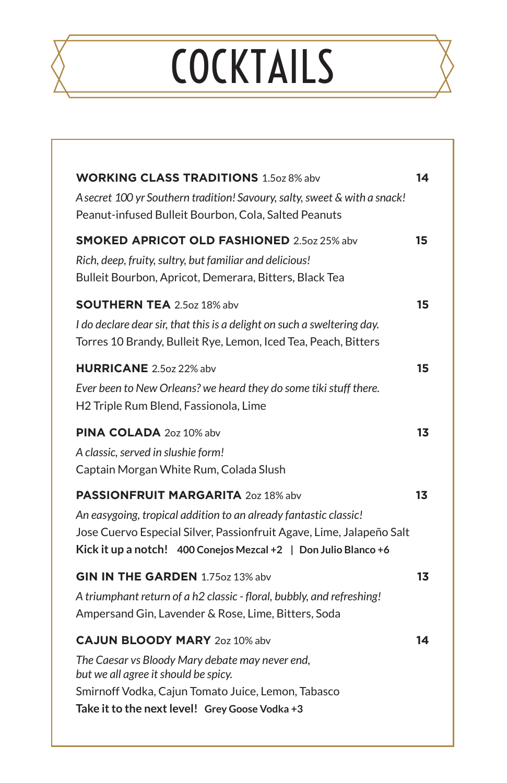# COCKTAILS

| <b>WORKING CLASS TRADITIONS</b> 1.5oz 8% abv                                                                                              | 14 |
|-------------------------------------------------------------------------------------------------------------------------------------------|----|
| A secret 100 yr Southern tradition! Savoury, salty, sweet & with a snack!<br>Peanut-infused Bulleit Bourbon, Cola, Salted Peanuts         |    |
| <b>SMOKED APRICOT OLD FASHIONED 2.5oz 25% abv</b>                                                                                         | 15 |
| Rich, deep, fruity, sultry, but familiar and delicious!<br>Bulleit Bourbon, Apricot, Demerara, Bitters, Black Tea                         |    |
| <b>SOUTHERN TEA</b> 2.5oz 18% abv                                                                                                         | 15 |
| I do declare dear sir, that this is a delight on such a sweltering day.<br>Torres 10 Brandy, Bulleit Rye, Lemon, Iced Tea, Peach, Bitters |    |
| <b>HURRICANE</b> 2.5oz 22% abv                                                                                                            | 15 |
| Ever been to New Orleans? we heard they do some tiki stuff there.<br>H2 Triple Rum Blend, Fassionola, Lime                                |    |
| <b>PINA COLADA</b> 20z 10% abv                                                                                                            | 13 |
| A classic, served in slushie form!                                                                                                        |    |
| Captain Morgan White Rum, Colada Slush                                                                                                    |    |
| <b>PASSIONFRUIT MARGARITA</b> 2oz 18% abv                                                                                                 | 13 |
| An easygoing, tropical addition to an already fantastic classic!<br>Jose Cuervo Especial Silver, Passionfruit Agave, Lime, Jalapeño Salt  |    |
| Kick it up a notch! 400 Conejos Mezcal +2 $\mid$ Don Julio Blanco +6                                                                      |    |
| <b>GIN IN THE GARDEN</b> 1.75oz 13% abv                                                                                                   | 13 |
| A triumphant return of a h2 classic - floral, bubbly, and refreshing!                                                                     |    |
| Ampersand Gin, Lavender & Rose, Lime, Bitters, Soda                                                                                       |    |
| <b>CAJUN BLOODY MARY 20z 10% abv</b>                                                                                                      | 14 |
| The Caesar vs Bloody Mary debate may never end,<br>but we all agree it should be spicy.                                                   |    |
| Smirnoff Vodka, Cajun Tomato Juice, Lemon, Tabasco                                                                                        |    |
| Take it to the next level! Grey Goose Vodka +3                                                                                            |    |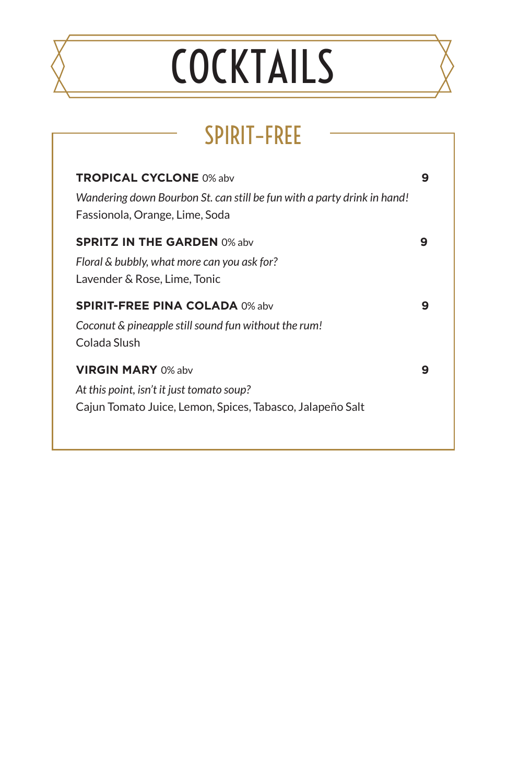# COCKTAILS

## SPIRIT–FREE

| <b>TROPICAL CYCLONE 0% abv</b><br>Wandering down Bourbon St. can still be fun with a party drink in hand!<br>Fassionola, Orange, Lime, Soda | 9 |
|---------------------------------------------------------------------------------------------------------------------------------------------|---|
| <b>SPRITZ IN THE GARDEN 0% abv</b><br>Floral & bubbly, what more can you ask for?<br>Lavender & Rose, Lime, Tonic                           | 9 |
| <b>SPIRIT-FREE PINA COLADA 0% abv</b><br>Coconut & pineapple still sound fun without the rum!<br>Colada Slush                               | 9 |
| <b>VIRGIN MARY 0% aby</b><br>At this point, isn't it just tomato soup?<br>Cajun Tomato Juice, Lemon, Spices, Tabasco, Jalapeño Salt         | 9 |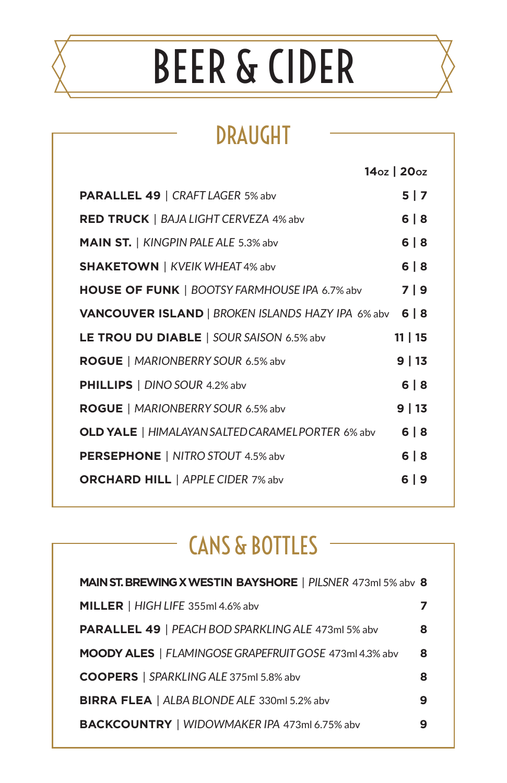# BEER & CIDER

## DRAUGHT

|                                                          | 14oz   20oz |
|----------------------------------------------------------|-------------|
| <b>PARALLEL 49   CRAFT LAGER 5% abv</b>                  | 5 7         |
| <b>RED TRUCK</b>   BAJA LIGHT CERVEZA 4% abv             | 6 8         |
| MAIN ST.   KINGPIN PALE ALE 5.3% abv                     | 6 8         |
| <b>SHAKETOWN</b>   KVEIK WHEAT 4% abv                    | 6 8         |
| <b>HOUSE OF FUNK   BOOTSY FARMHOUSE IPA 6.7% abv</b>     | 7   9       |
| <b>VANCOUVER ISLAND</b>   BROKEN ISLANDS HAZY IPA 6% abv | 6 8         |
| <b>LE TROU DU DIABLE</b>   SOUR SAISON 6.5% abv          | 11   15     |
| <b>ROGUE</b>   MARIONBERRY SOUR 6.5% abv                 | 9 13        |
| <b>PHILLIPS</b>   DINO SOUR 4.2% abv                     | 6 8         |
| <b>ROGUE</b>   MARIONBERRY SOUR 6.5% abv                 | 9 13        |
| <b>OLD YALE</b>   HIMALAYAN SALTED CARAMEL PORTER 6% abv | 6 8         |
| <b>PERSEPHONE</b>   NITRO STOUT 4.5% abv                 | 6 8         |
| <b>ORCHARD HILL</b>   APPLE CIDER 7% abv                 | 6   9       |

## CANS & BOTTLES

| <b>MAIN ST. BREWING X WESTIN BAYSHORE</b>   PILSNER 473ml 5% abv 8 |   |
|--------------------------------------------------------------------|---|
| MILLER   HIGH LIFE 355ml 4.6% abv                                  |   |
| <b>PARALLEL 49   PEACH BOD SPARKLING ALE 473ml 5% abv</b>          | 8 |
| <b>MOODY ALES</b>   FLAMINGOSE GRAPEFRUIT GOSE 473ml 4.3% abv      | 8 |
| <b>COOPERS</b>   SPARKLING ALE 375ml 5.8% abv                      | 8 |
| BIRRA FLEA   ALBA BLONDE ALE 330ml 5.2% abv                        | 9 |
| BACKCOUNTRY   WIDOWMAKER IPA 473ml 6.75% abv                       | 9 |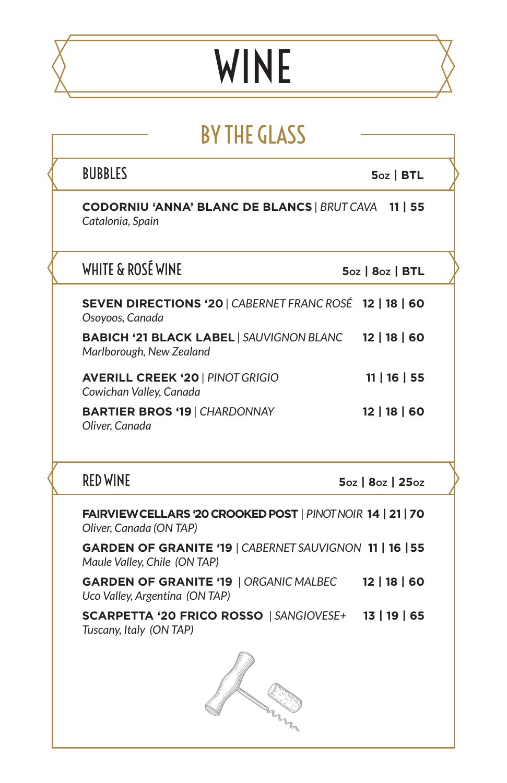# WINE

|  | <b>BY THE GLASS</b> |
|--|---------------------|
|  |                     |

| <b>BUBBLES</b>                                                                                                                                                                           | $5oz$   BTL          |
|------------------------------------------------------------------------------------------------------------------------------------------------------------------------------------------|----------------------|
| <b>CODORNIU 'ANNA' BLANC DE BLANCS   BRUT CAVA 11   55</b><br>Catalonia, Spain                                                                                                           |                      |
| WHITE & ROSÉ WINE                                                                                                                                                                        | 5oz   8oz   BTL      |
| SEVEN DIRECTIONS '20   CABERNET FRANC ROSÉ 12   18   60<br>Osoyoos, Canada                                                                                                               |                      |
| BABICH '21 BLACK LABEL   SAUVIGNON BLANC 12   18   60<br>Marlborough, New Zealand                                                                                                        |                      |
| <b>AVERILL CREEK '20   PINOT GRIGIO</b><br>Cowichan Valley, Canada                                                                                                                       | 11   16   55         |
| <b>BARTIER BROS '19   CHARDONNAY</b><br>Oliver, Canada                                                                                                                                   | 12   18   60         |
| <b>RED WINE</b>                                                                                                                                                                          | 5oz   8oz   25oz     |
|                                                                                                                                                                                          |                      |
|                                                                                                                                                                                          |                      |
| FAIRVIEW CELLARS '20 CROOKED POST   PINOT NOIR 14   21   70<br>Oliver, Canada (ON TAP)<br><b>GARDEN OF GRANITE '19   CABERNET SAUVIGNON 11   16   55</b><br>Maule Valley, Chile (ON TAP) |                      |
| <b>GARDEN OF GRANITE '19   ORGANIC MALBEC</b><br>Uco Valley, Argentina (ON TAP)                                                                                                          | $12 \mid 18 \mid 60$ |
| SCARPETTA '20 FRICO ROSSO   SANGIOVESE+ 13   19   65<br>Tuscany, Italy (ON TAP)                                                                                                          |                      |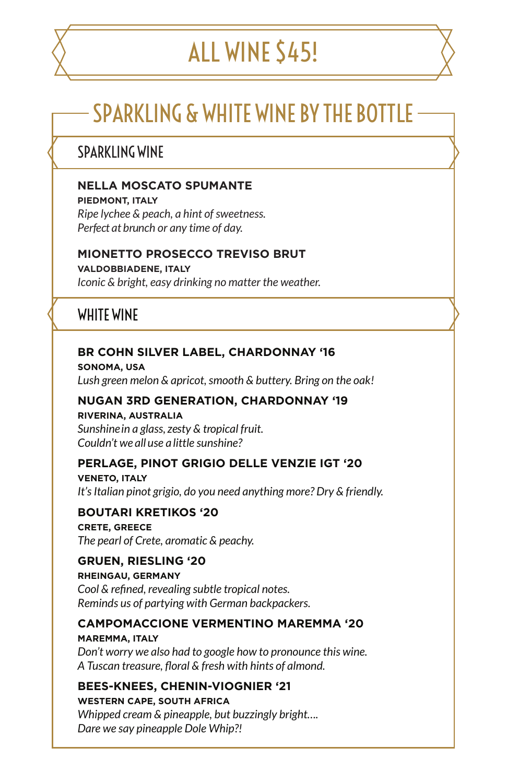## ALL WINE \$45!

## SPARKLING & WHITE WINE BY THE BOTTLE

### SPARKI ING WINF

#### **NELLA MOSCATO SPUMANTE**

**PIEDMONT, ITALY** *Ripe lychee & peach, a hint of sweetness. Perfect at brunch or any time of day.* 

#### **MIONETTO PROSECCO TREVISO BRUT**

**VALDOBBIADENE, ITALY** *Iconic & bright, easy drinking no matter the weather.* 

### WHITE WINE

#### **BR COHN SILVER LABEL, CHARDONNAY '16**

**SONOMA, USA** *Lush green melon & apricot, smooth & buttery. Bring on the oak!* 

#### **NUGAN 3RD GENERATION, CHARDONNAY '19**

**RIVERINA, AUSTRALIA** *Sunshine in a glass, zesty & tropical fruit. Couldn't we all use a little sunshine?*

#### **PERLAGE, PINOT GRIGIO DELLE VENZIE IGT '20**

**VENETO, ITALY** *It's Italian pinot grigio, do you need anything more? Dry & friendly.*

#### **BOUTARI KRETIKOS '20**

**CRETE, GREECE** *The pearl of Crete, aromatic & peachy.* 

#### **GRUEN, RIESLING '20**

**RHEINGAU, GERMANY**

*Cool & refined, revealing subtle tropical notes. Reminds us of partying with German backpackers.*

#### **CAMPOMACCIONE VERMENTINO MAREMMA '20**

**MAREMMA, ITALY** *Don't worry we also had to google how to pronounce this wine. A Tuscan treasure, floral & fresh with hints of almond.*

#### **BEES-KNEES, CHENIN-VIOGNIER '21**

**WESTERN CAPE, SOUTH AFRICA** *Whipped cream & pineapple, but buzzingly bright…. Dare we say pineapple Dole Whip?!*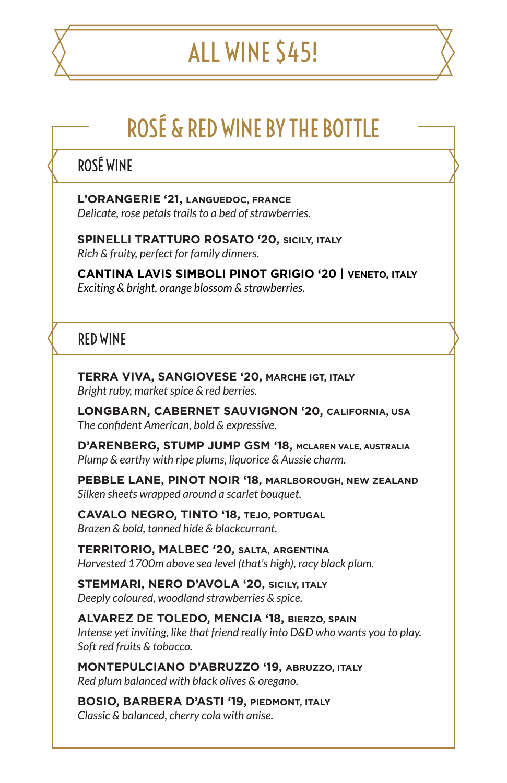## ALL WINE \$45!

## ROSÉ & RED WINE BY THE BOTTLE

### ROSÉ WINE

**L'ORANGERIE '21, LANGUEDOC, FRANCE** *Delicate, rose petals trails to a bed of strawberries.* 

**SPINELLI TRATTURO ROSATO '20, SICILY, ITALY** *Rich & fruity, perfect for family dinners.* 

**CANTINA LAVIS SIMBOLI PINOT GRIGIO '20 | VENETO, ITALY** *Exciting & bright, orange blossom & strawberries.*

### RED WINE

**TERRA VIVA, SANGIOVESE '20, MARCHE IGT, ITALY** *Bright ruby, market spice & red berries.*

**LONGBARN, CABERNET SAUVIGNON '20, CALIFORNIA, USA** *The confident American, bold & expressive.* 

**D'ARENBERG, STUMP JUMP GSM '18, MCLAREN VALE, AUSTRALIA** *Plump & earthy with ripe plums, liquorice & Aussie charm.*

**PEBBLE LANE, PINOT NOIR '18, MARLBOROUGH, NEW ZEALAND** *Silken sheets wrapped around a scarlet bouquet.* 

**CAVALO NEGRO, TINTO '18, TEJO, PORTUGAL** *Brazen & bold, tanned hide & blackcurrant.* 

**TERRITORIO, MALBEC '20, SALTA, ARGENTINA** *Harvested 1700m above sea level (that's high), racy black plum.*

**STEMMARI, NERO D'AVOLA '20, SICILY, ITALY** *Deeply coloured, woodland strawberries & spice.* 

**ALVAREZ DE TOLEDO, MENCIA '18, BIERZO, SPAIN** *Intense yet inviting, like that friend really into D&D who wants you to play. Soft red fruits & tobacco.* 

**MONTEPULCIANO D'ABRUZZO '19, ABRUZZO, ITALY** *Red plum balanced with black olives & oregano.* 

**BOSIO, BARBERA D'ASTI '19, PIEDMONT, ITALY** *Classic & balanced, cherry cola with anise.*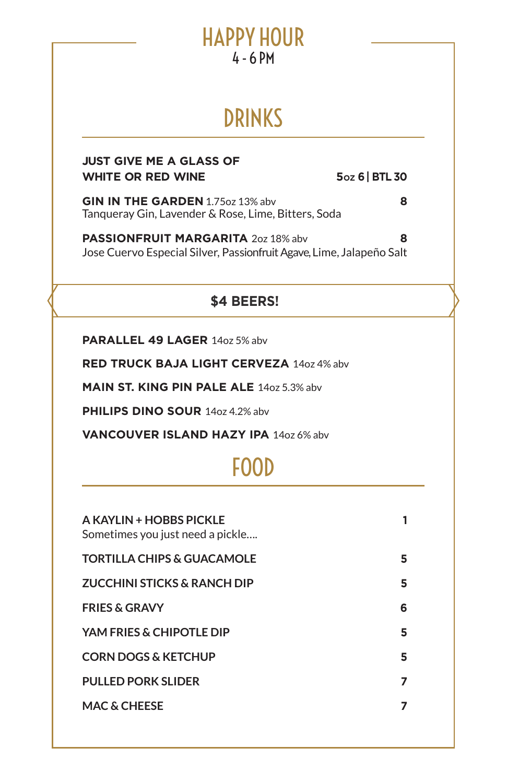## HAPPY HOUR 4 - 6 PM

## DRINKS

#### **JUST GIVE ME A GLASS OF WHITE OR RED WINE 50Z 6 | BTL 30**

**GIN IN THE GARDEN** 1.75oz 13% abv **8** Tanqueray Gin, Lavender & Rose, Lime, Bitters, Soda

**PASSIONFRUIT MARGARITA** 2oz 18% abv **8** Jose Cuervo Especial Silver, Passionfruit Agave, Lime, Jalapeño Salt

### **\$4 BEERS!**

**PARALLEL 49 LAGER** 14oz 5% abv

**RED TRUCK BAJA LIGHT CERVEZA** 14oz 4% abv

**MAIN ST. KING PIN PALE ALE** 14oz 5.3% abv

**PHILIPS DINO SOUR** 14oz 4.2% abv

**VANCOUVER ISLAND HAZY IPA** 14oz 6% abv

## FOOD

| A KAYLIN + HOBBS PICKLE<br>Sometimes you just need a pickle | 1 |
|-------------------------------------------------------------|---|
| <b>TORTILLA CHIPS &amp; GUACAMOLE</b>                       | 5 |
| <b>ZUCCHINI STICKS &amp; RANCH DIP</b>                      | 5 |
| <b>FRIES &amp; GRAVY</b>                                    | 6 |
| YAM FRIES & CHIPOTLE DIP                                    | 5 |
| <b>CORN DOGS &amp; KETCHUP</b>                              | 5 |
| <b>PULLED PORK SLIDER</b>                                   | 7 |
| <b>MAC &amp; CHEESE</b>                                     | 7 |
|                                                             |   |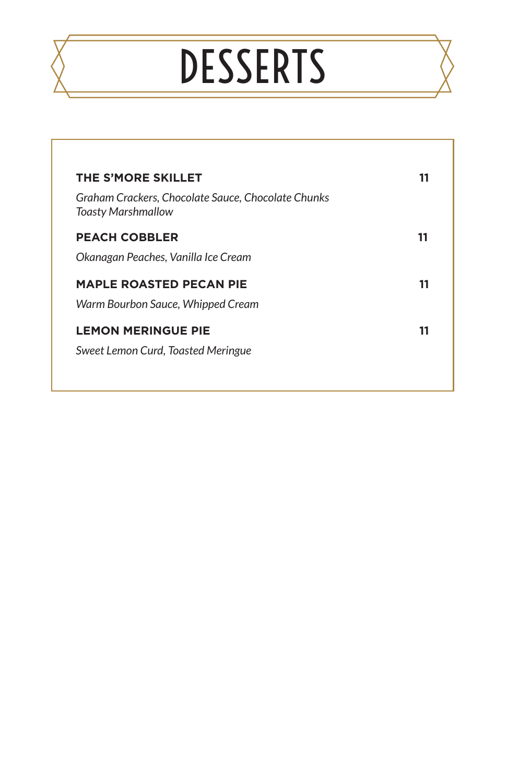# **DESSERTS**

| <b>THE S'MORE SKILLET</b>                                                       | 11 |
|---------------------------------------------------------------------------------|----|
| Graham Crackers, Chocolate Sauce, Chocolate Chunks<br><b>Toasty Marshmallow</b> |    |
| <b>PEACH COBBLER</b>                                                            | 11 |
| Okanagan Peaches, Vanilla Ice Cream                                             |    |
| <b>MAPLE ROASTED PECAN PIE</b>                                                  | 11 |
| Warm Bourbon Sauce, Whipped Cream                                               |    |
| <b>LEMON MERINGUE PIE</b>                                                       | 11 |
| Sweet Lemon Curd, Toasted Meringue                                              |    |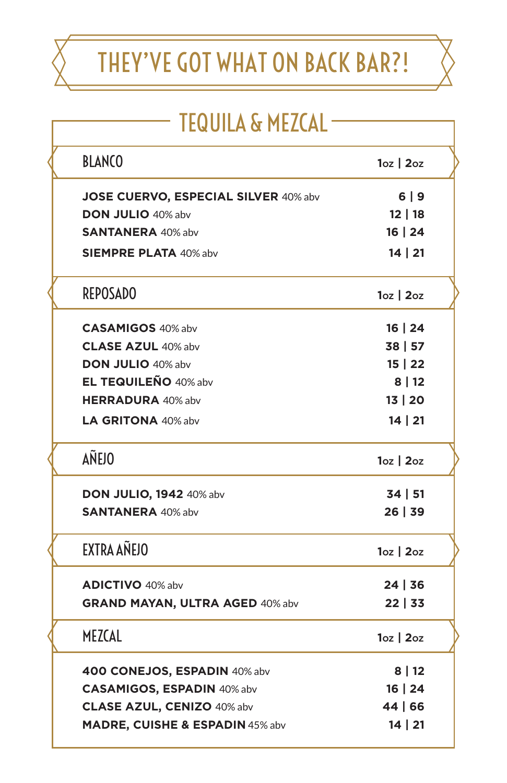# THEY'VE GOT WHAT ON BACK BAR?!

| <b>TEQUILA &amp; MEZCAL</b> |
|-----------------------------|
|-----------------------------|

| <b>BLANCO</b>                        | $1oz \mid 2oz$ |
|--------------------------------------|----------------|
| JOSE CUERVO, ESPECIAL SILVER 40% abv | 6 9            |
| <b>DON JULIO 40% abv</b>             | 12 18          |
| <b>SANTANERA</b> 40% abv             | 16   24        |
| <b>SIEMPRE PLATA 40% abv</b>         | 14   21        |
| <b>REPOSADO</b>                      | $10z$   $20z$  |
| <b>CASAMIGOS 40% abv</b>             | 16   24        |
| <b>CLASE AZUL 40% abv</b>            | 38   57        |
| DON JULIO 40% abv                    | 15   22        |
| <b>EL TEQUILEÑO 40% abv</b>          | 8 12           |
| <b>HERRADURA 40% abv</b>             | 13   20        |
| LA GRITONA 40% abv                   | 14   21        |
| <b>AÑEJO</b>                         | $10z$   $20z$  |
| <b>DON JULIO, 1942</b> 40% abv       | 34   51        |
| <b>SANTANERA</b> 40% abv             | 26 39          |
| EXTRA AÑEJO                          | $10z$   $20z$  |
| <b>ADICTIVO</b> 40% abv              | 24   36        |
| GRAND MAYAN, ULTRA AGED 40% abv      | 22 33          |
| MEZCAL                               | $10z$   $20z$  |
| 400 CONEJOS, ESPADIN 40% abv         | 8 12           |
| <b>CASAMIGOS, ESPADIN 40% abv</b>    | 16   24        |
| <b>CLASE AZUL, CENIZO 40% abv</b>    | 44   66        |
| MADRE, CUISHE & ESPADIN 45% abv      | 14   21        |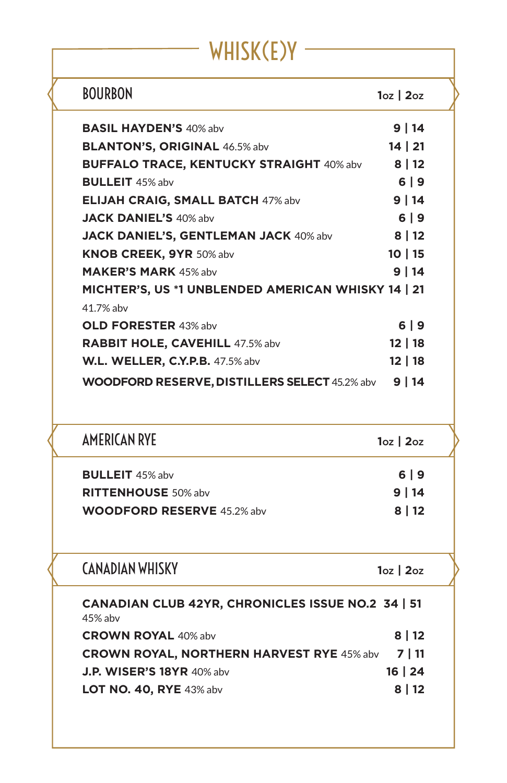## WHISK(E)Y —

<sup>-</sup>

| <b>BOURBON</b>                                                              | $1oz$   2 $oz$ |
|-----------------------------------------------------------------------------|----------------|
| <b>BASIL HAYDEN'S 40% abv</b>                                               | 9 14           |
| <b>BLANTON'S, ORIGINAL 46.5% abv</b>                                        | 14 21          |
| BUFFALO TRACE, KENTUCKY STRAIGHT 40% abv 8   12                             |                |
| <b>BULLEIT</b> 45% abv                                                      | 69             |
| ELIJAH CRAIG, SMALL BATCH 47% abv                                           | 9 14           |
| <b>JACK DANIEL'S 40% abv</b>                                                | $6 9$          |
| JACK DANIEL'S, GENTLEMAN JACK 40% abv                                       | 8 12           |
| <b>KNOB CREEK, 9YR 50% abv</b>                                              | 10 15          |
| <b>MAKER'S MARK 45% aby</b>                                                 | 9   14         |
| MICHTER'S, US *1 UNBLENDED AMERICAN WHISKY 14   21<br>41.7% abv             |                |
| <b>OLD FORESTER 43% abv</b>                                                 | $6 9$          |
|                                                                             | 12 18          |
| <b>RABBIT HOLE, CAVEHILL 47.5% abv</b>                                      |                |
| <b>W.L. WELLER, C.Y.P.B.</b> 47.5% abv                                      | 12 18          |
| WOODFORD RESERVE, DISTILLERS SELECT 45.2% abv 9   14<br><b>AMERICAN RYE</b> | $1oz$   2 $oz$ |
|                                                                             |                |
| <b>BULLEIT</b> 45% abv                                                      | $6   9$        |
| <b>RITTENHOUSE 50% abv</b>                                                  | 9 14           |
| <b>WOODFORD RESERVE 45.2% abv</b>                                           | 8   12         |
| <b>CANADIAN WHISKY</b>                                                      | $1oz$   2 $oz$ |
| CANADIAN CLUB 42YR, CHRONICLES ISSUE NO.2 34   51<br>45% abv                |                |
| <b>CROWN ROYAL 40% abv</b>                                                  | 8   12         |
| <b>CROWN ROYAL, NORTHERN HARVEST RYE 45% abv</b>                            | 7   11         |
| J.P. WISER'S 18YR 40% abv                                                   | 16   24        |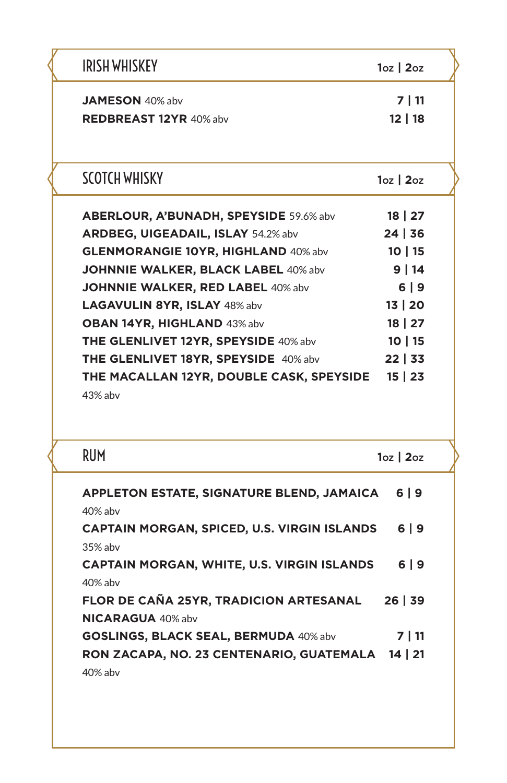| <b>IRISH WHISKEY</b>                                                                     | $1oz$   2 $oz$                                     |
|------------------------------------------------------------------------------------------|----------------------------------------------------|
| <b>JAMESON</b> 40% abv                                                                   | 7   11                                             |
| REDBREAST 12YR 40% abv                                                                   | 12 18                                              |
| <b>SCOTCH WHISKY</b>                                                                     | $10z$   $20z$                                      |
| <b>ABERLOUR, A'BUNADH, SPEYSIDE 59.6% abv</b>                                            | $18 \mid 27$                                       |
| <b>ARDBEG, UIGEADAIL, ISLAY 54.2% abv</b>                                                | 24 36                                              |
| <b>GLENMORANGIE 10YR, HIGHLAND 40% abv</b>                                               | 10 15                                              |
| <b>JOHNNIE WALKER, BLACK LABEL 40% abv</b>                                               | 9 14                                               |
| JOHNNIE WALKER, RED LABEL 40% abv                                                        | 6 9                                                |
| LAGAVULIN 8YR, ISLAY 48% abv                                                             | 13   20                                            |
| OBAN 14YR, HIGHLAND 43% abv                                                              | $18 \mid 27$                                       |
|                                                                                          | 10 15                                              |
| <b>THE GLENLIVET 12YR, SPEYSIDE 40% abv</b>                                              |                                                    |
| THE GLENLIVET 18YR, SPEYSIDE 40% abv<br>THE MACALLAN 12YR, DOUBLE CASK, SPEYSIDE 15   23 |                                                    |
| 43% abv                                                                                  |                                                    |
| <b>RUM</b><br>APPLETON ESTATE, SIGNATURE BLEND, JAMAICA                                  |                                                    |
| 40% abv<br>CAPTAIN MORGAN, SPICED, U.S. VIRGIN ISLANDS                                   |                                                    |
| 35% abv<br><b>CAPTAIN MORGAN, WHITE, U.S. VIRGIN ISLANDS</b>                             |                                                    |
| 40% abv<br>FLOR DE CAÑA 25YR, TRADICION ARTESANAL 26   39<br><b>NICARAGUA 40% abv</b>    | $22 \mid 33$<br>$10z$   $20z$<br>6 9<br>6 9<br>6 9 |
| <b>GOSLINGS, BLACK SEAL, BERMUDA 40% abv</b>                                             | 7   11                                             |